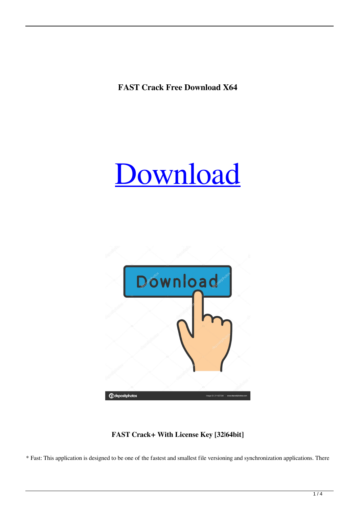**FAST Crack Free Download X64**





**FAST Crack+ With License Key [32|64bit]**

\* Fast: This application is designed to be one of the fastest and smallest file versioning and synchronization applications. There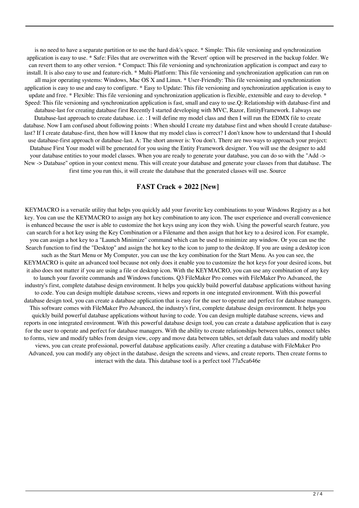is no need to have a separate partition or to use the hard disk's space. \* Simple: This file versioning and synchronization application is easy to use. \* Safe: Files that are overwritten with the 'Revert' option will be preserved in the backup folder. We can revert them to any other version. \* Compact: This file versioning and synchronization application is compact and easy to install. It is also easy to use and feature-rich. \* Multi-Platform: This file versioning and synchronization application can run on all major operating systems: Windows, Mac OS X and Linux. \* User-Friendly: This file versioning and synchronization application is easy to use and easy to configure. \* Easy to Update: This file versioning and synchronization application is easy to update and free. \* Flexible: This file versioning and synchronization application is flexible, extensible and easy to develop. \* Speed: This file versioning and synchronization application is fast, small and easy to use.Q: Relationship with database-first and database-last for creating database first Recently I started developing with MVC, Razor, EntityFramework. I always use Database-last approach to create database. i.e. : I will define my model class and then I will run the EDMX file to create database. Now I am confused about following points : When should I create my database first and when should I create databaselast? If I create database-first, then how will I know that my model class is correct? I don't know how to understand that I should use database-first approach or database-last. A: The short answer is: You don't. There are two ways to approach your project: Database First Your model will be generated for you using the Entity Framework designer. You will use the designer to add your database entities to your model classes. When you are ready to generate your database, you can do so with the "Add -> New -> Database" option in your context menu. This will create your database and generate your classes from that database. The first time you run this, it will create the database that the generated classes will use. Source

## **FAST Crack + 2022 [New]**

KEYMACRO is a versatile utility that helps you quickly add your favorite key combinations to your Windows Registry as a hot key. You can use the KEYMACRO to assign any hot key combination to any icon. The user experience and overall convenience is enhanced because the user is able to customize the hot keys using any icon they wish. Using the powerful search feature, you can search for a hot key using the Key Combination or a Filename and then assign that hot key to a desired icon. For example, you can assign a hot key to a "Launch Minimize" command which can be used to minimize any window. Or you can use the Search function to find the "Desktop" and assign the hot key to the icon to jump to the desktop. If you are using a desktop icon such as the Start Menu or My Computer, you can use the key combination for the Start Menu. As you can see, the KEYMACRO is quite an advanced tool because not only does it enable you to customize the hot keys for your desired icons, but it also does not matter if you are using a file or desktop icon. With the KEYMACRO, you can use any combination of any key to launch your favorite commands and Windows functions. Q3 FileMaker Pro comes with FileMaker Pro Advanced, the industry's first, complete database design environment. It helps you quickly build powerful database applications without having to code. You can design multiple database screens, views and reports in one integrated environment. With this powerful database design tool, you can create a database application that is easy for the user to operate and perfect for database managers. This software comes with FileMaker Pro Advanced, the industry's first, complete database design environment. It helps you quickly build powerful database applications without having to code. You can design multiple database screens, views and reports in one integrated environment. With this powerful database design tool, you can create a database application that is easy for the user to operate and perfect for database managers. With the ability to create relationships between tables, connect tables to forms, view and modify tables from design view, copy and move data between tables, set default data values and modify table views, you can create professional, powerful database applications easily. After creating a database with FileMaker Pro Advanced, you can modify any object in the database, design the screens and views, and create reports. Then create forms to interact with the data. This database tool is a perfect tool 77a5ca646e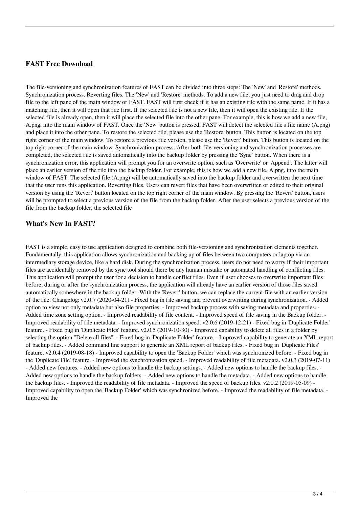## **FAST Free Download**

The file-versioning and synchronization features of FAST can be divided into three steps: The 'New' and 'Restore' methods. Synchronization process. Reverting files. The 'New' and 'Restore' methods. To add a new file, you just need to drag and drop file to the left pane of the main window of FAST. FAST will first check if it has an existing file with the same name. If it has a matching file, then it will open that file first. If the selected file is not a new file, then it will open the existing file. If the selected file is already open, then it will place the selected file into the other pane. For example, this is how we add a new file, A.png, into the main window of FAST. Once the 'New' button is pressed, FAST will detect the selected file's file name (A.png) and place it into the other pane. To restore the selected file, please use the 'Restore' button. This button is located on the top right corner of the main window. To restore a previous file version, please use the 'Revert' button. This button is located on the top right corner of the main window. Synchronization process. After both file-versioning and synchronization processes are completed, the selected file is saved automatically into the backup folder by pressing the 'Sync' button. When there is a synchronization error, this application will prompt you for an overwrite option, such as 'Overwrite' or 'Append'. The latter will place an earlier version of the file into the backup folder. For example, this is how we add a new file, A.png, into the main window of FAST. The selected file (A.png) will be automatically saved into the backup folder and overwritten the next time that the user runs this application. Reverting files. Users can revert files that have been overwritten or edited to their original version by using the 'Revert' button located on the top right corner of the main window. By pressing the 'Revert' button, users will be prompted to select a previous version of the file from the backup folder. After the user selects a previous version of the file from the backup folder, the selected file

## **What's New In FAST?**

FAST is a simple, easy to use application designed to combine both file-versioning and synchronization elements together. Fundamentally, this application allows synchronization and backing up of files between two computers or laptop via an intermediary storage device, like a hard disk. During the synchronization process, users do not need to worry if their important files are accidentally removed by the sync tool should there be any human mistake or automated handling of conflicting files. This application will prompt the user for a decision to handle conflict files. Even if user chooses to overwrite important files before, during or after the synchronization process, the application will already have an earlier version of those files saved automatically somewhere in the backup folder. With the 'Revert' button, we can replace the current file with an earlier version of the file. Changelog: v2.0.7 (2020-04-21) - Fixed bug in file saving and prevent overwriting during synchronization. - Added option to view not only metadata but also file properties. - Improved backup process with saving metadata and properties. - Added time zone setting option. - Improved readability of file content. - Improved speed of file saving in the Backup folder. - Improved readability of file metadata. - Improved synchronization speed. v2.0.6 (2019-12-21) - Fixed bug in 'Duplicate Folder' feature. - Fixed bug in 'Duplicate Files' feature. v2.0.5 (2019-10-30) - Improved capability to delete all files in a folder by selecting the option "Delete all files". - Fixed bug in 'Duplicate Folder' feature. - Improved capability to generate an XML report of backup files. - Added command line support to generate an XML report of backup files. - Fixed bug in 'Duplicate Files' feature. v2.0.4 (2019-08-18) - Improved capability to open the 'Backup Folder' which was synchronized before. - Fixed bug in the 'Duplicate File' feature. - Improved the synchronization speed. - Improved readability of file metadata. v2.0.3 (2019-07-11) - Added new features. - Added new options to handle the backup settings. - Added new options to handle the backup files. - Added new options to handle the backup folders. - Added new options to handle the metadata. - Added new options to handle the backup files. - Improved the readability of file metadata. - Improved the speed of backup files. v2.0.2 (2019-05-09) - Improved capability to open the 'Backup Folder' which was synchronized before. - Improved the readability of file metadata. - Improved the